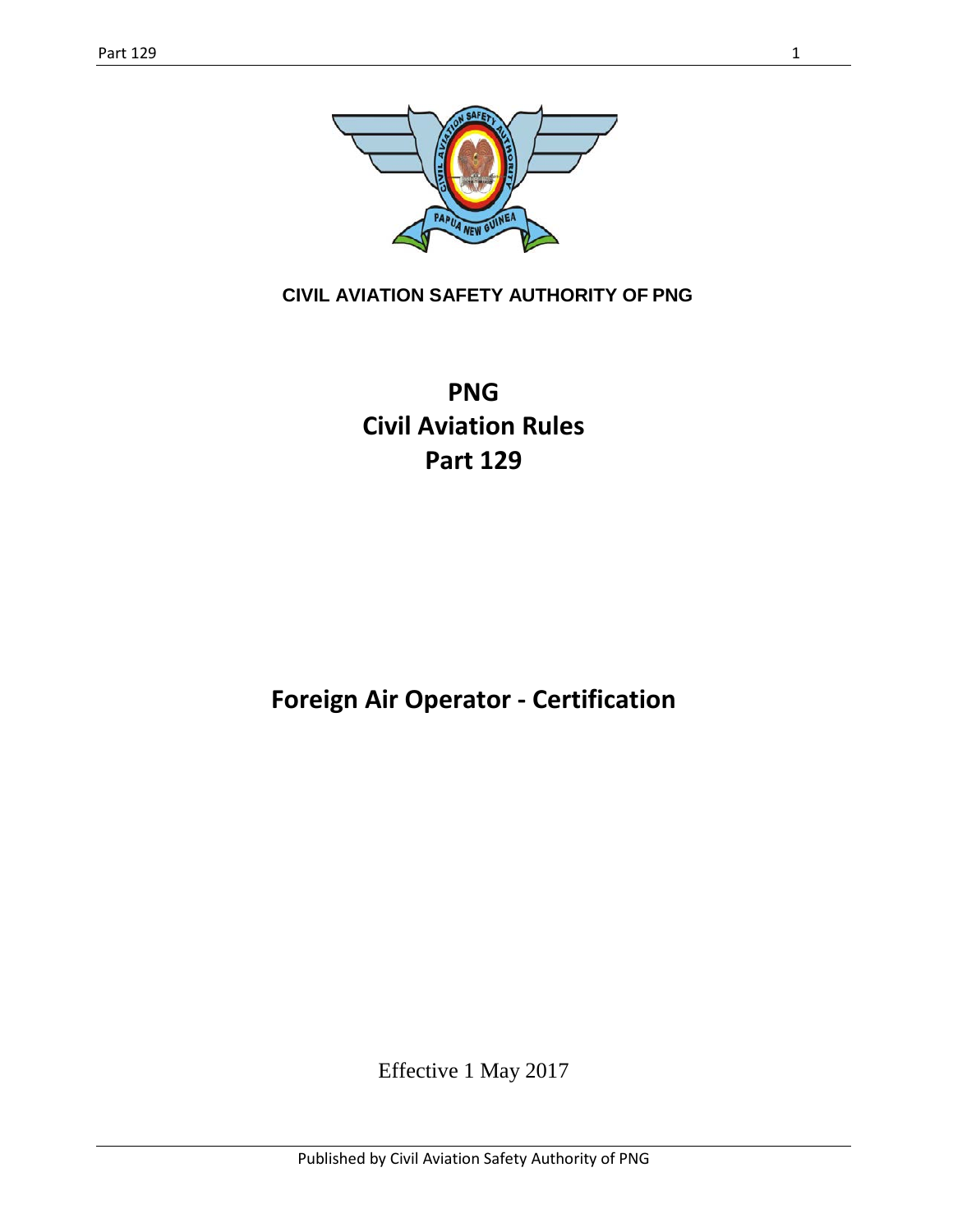

**CIVIL AVIATION SAFETY AUTHORITY OF PNG**

**PNG Civil Aviation Rules Part 129**

**Foreign Air Operator - Certification**

Effective 1 May 2017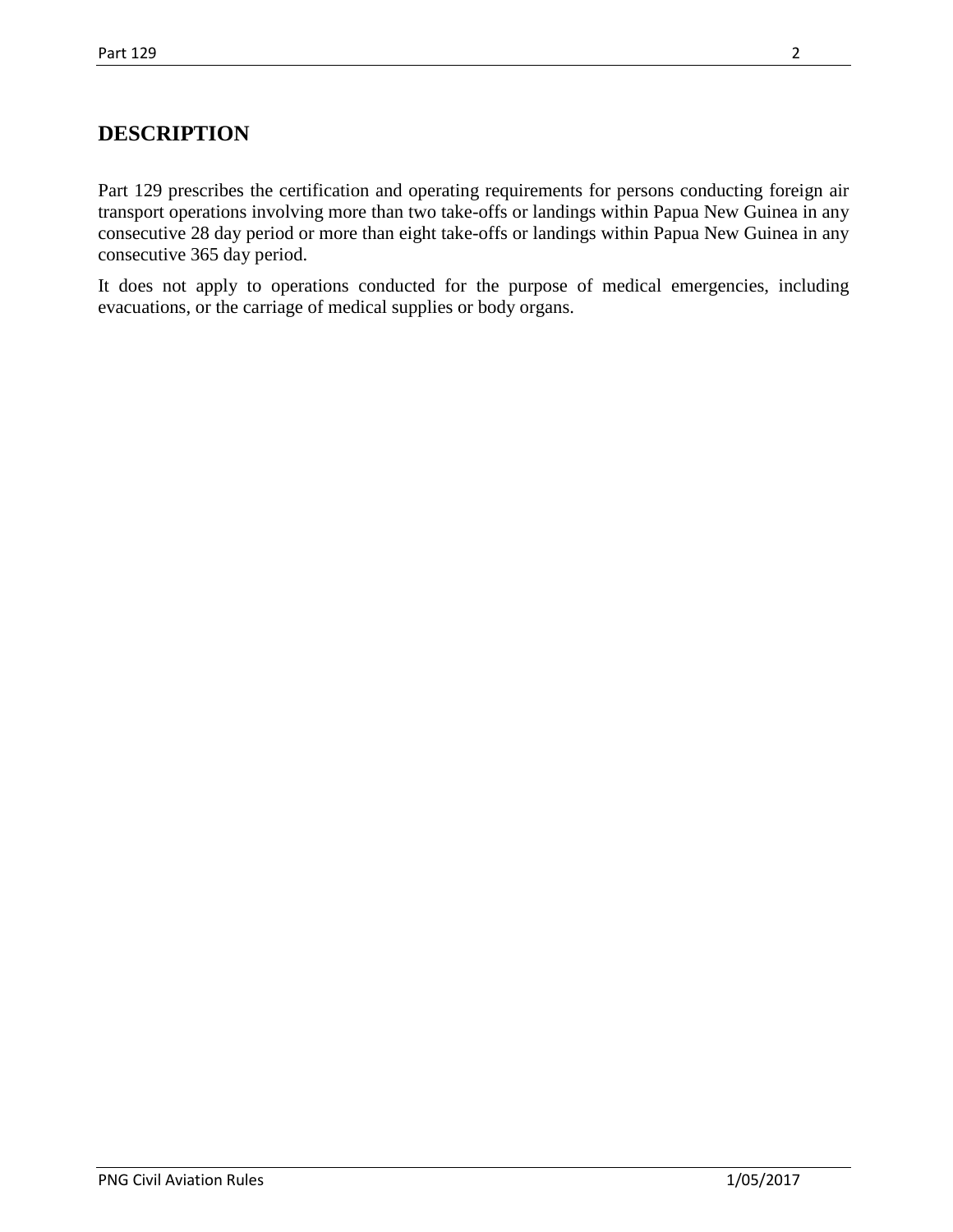## **DESCRIPTION**

Part 129 prescribes the certification and operating requirements for persons conducting foreign air transport operations involving more than two take-offs or landings within Papua New Guinea in any consecutive 28 day period or more than eight take-offs or landings within Papua New Guinea in any consecutive 365 day period.

It does not apply to operations conducted for the purpose of medical emergencies, including evacuations, or the carriage of medical supplies or body organs.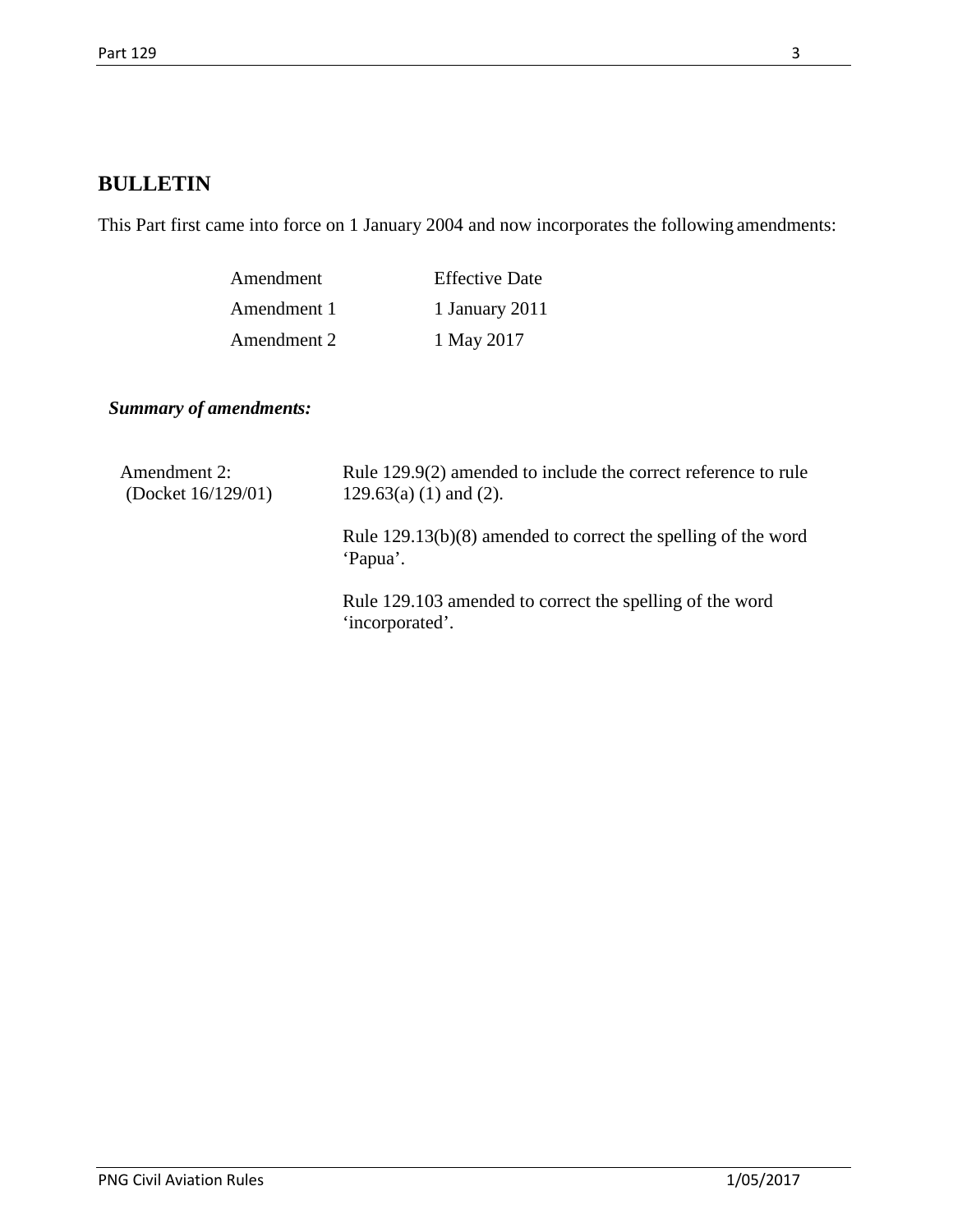## **BULLETIN**

This Part first came into force on 1 January 2004 and now incorporates the following amendments:

| Amendment   | <b>Effective Date</b> |
|-------------|-----------------------|
| Amendment 1 | 1 January 2011        |
| Amendment 2 | 1 May 2017            |

*Summary of amendments:*

| Amendment 2:<br>(Docket $16/129/01$ ) | Rule 129.9(2) amended to include the correct reference to rule<br>$129.63(a) (1)$ and $(2)$ . |
|---------------------------------------|-----------------------------------------------------------------------------------------------|
|                                       | Rule $129.13(b)(8)$ amended to correct the spelling of the word<br>'Papua'.                   |
|                                       | Rule 129.103 amended to correct the spelling of the word<br>'incorporated'.                   |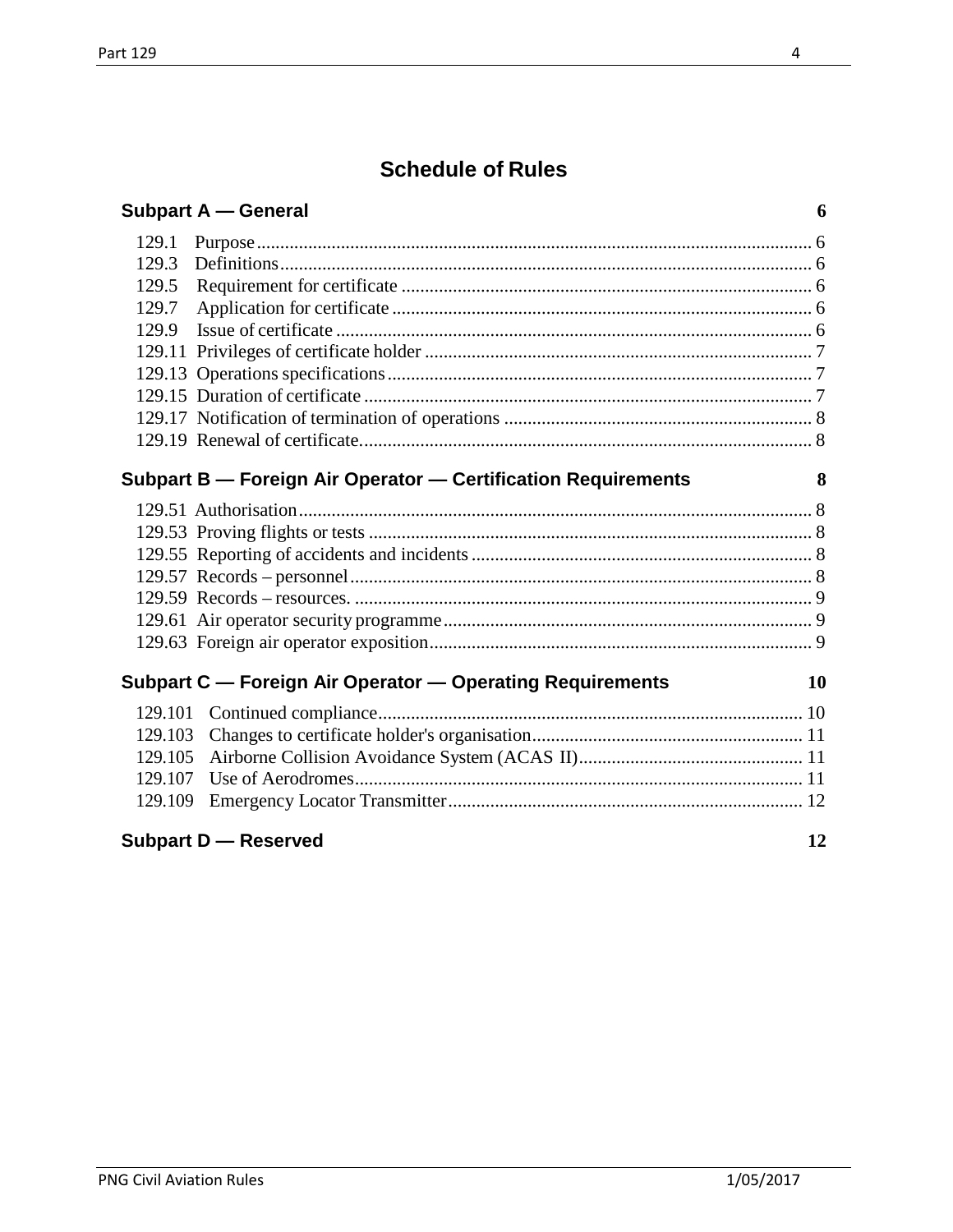# **Schedule of Rules**

|  | <b>Subpart A – General</b> |
|--|----------------------------|
|--|----------------------------|

### Subpart B - Foreign Air Operator - Certification Requirements

## Subpart C - Foreign Air Operator - Operating Requirements

### **Subpart D** - Reserved

10

 $\overline{4}$ 

 $\boldsymbol{6}$ 

8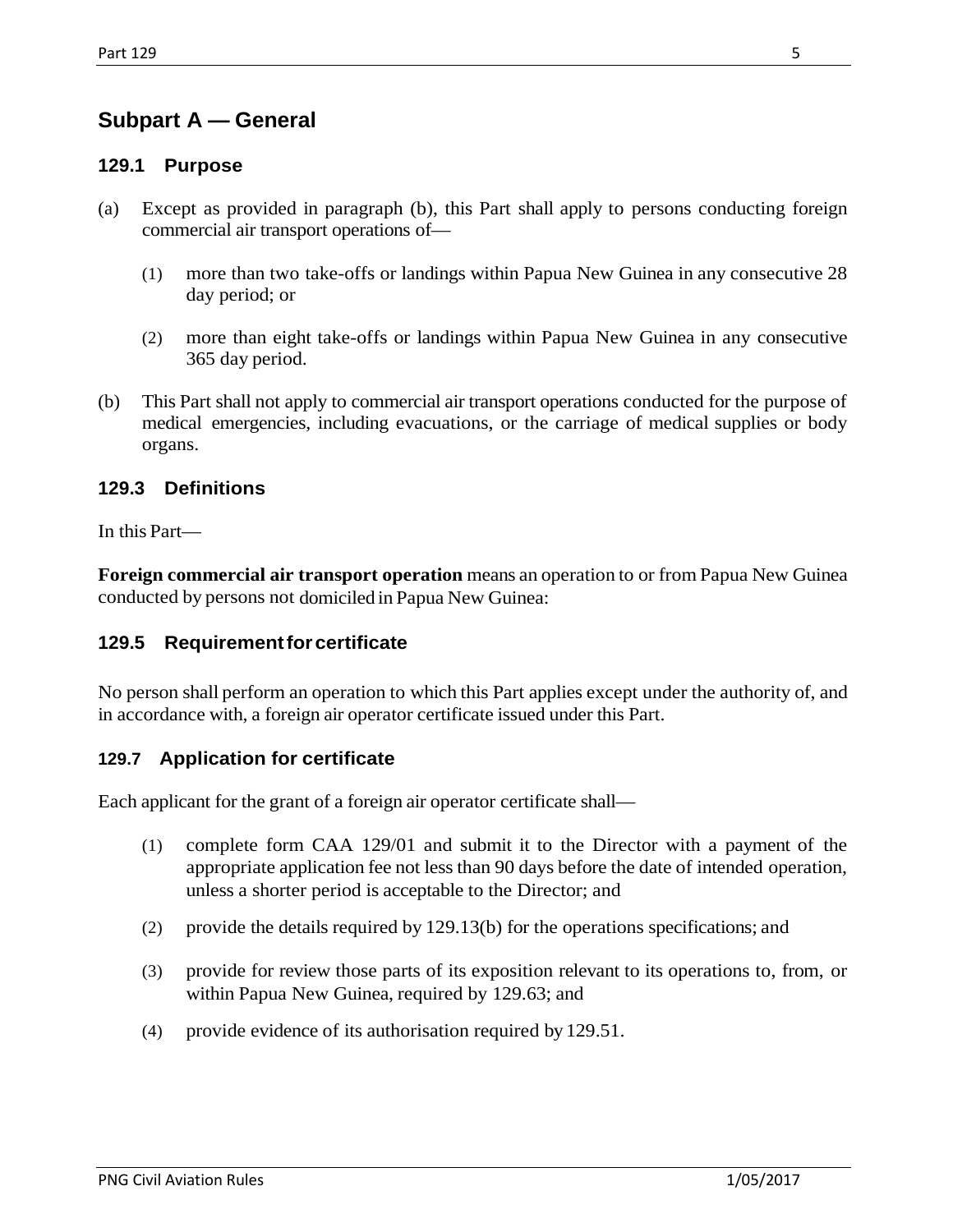## <span id="page-4-0"></span>**Subpart A — General**

### <span id="page-4-1"></span>**129.1 Purpose**

- (a) Except as provided in paragraph (b), this Part shall apply to persons conducting foreign commercial air transport operations of—
	- (1) more than two take-offs or landings within Papua New Guinea in any consecutive 28 day period; or
	- (2) more than eight take-offs or landings within Papua New Guinea in any consecutive 365 day period.
- (b) This Part shall not apply to commercial air transport operations conducted for the purpose of medical emergencies, including evacuations, or the carriage of medical supplies or body organs.

### <span id="page-4-2"></span>**129.3 Definitions**

In this Part—

**Foreign commercial air transport operation** means an operation to or from Papua New Guinea conducted by persons not domiciled in Papua New Guinea:

#### <span id="page-4-3"></span>**129.5 Requirementforcertificate**

No person shall perform an operation to which this Part applies except under the authority of, and in accordance with, a foreign air operator certificate issued under this Part.

#### <span id="page-4-4"></span>**129.7 Application for certificate**

Each applicant for the grant of a foreign air operator certificate shall—

- (1) complete form CAA 129/01 and submit it to the Director with a payment of the appropriate application fee not less than 90 days before the date of intended operation, unless a shorter period is acceptable to the Director; and
- (2) provide the details required by 129.13(b) for the operations specifications; and
- (3) provide for review those parts of its exposition relevant to its operations to, from, or within Papua New Guinea, required by 129.63; and
- (4) provide evidence of its authorisation required by 129.51.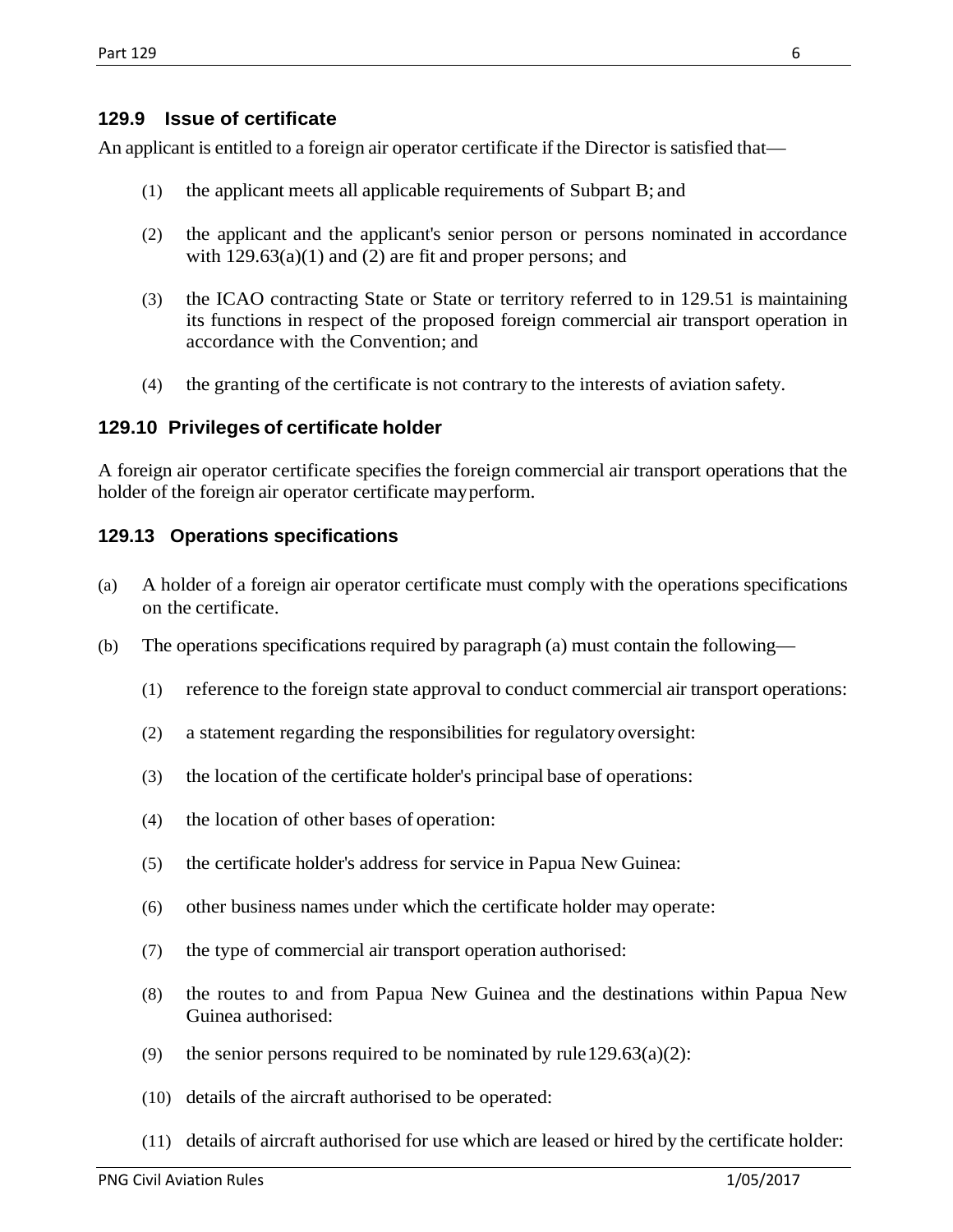### <span id="page-5-0"></span>**129.9 Issue of certificate**

An applicant is entitled to a foreign air operator certificate if the Director is satisfied that—

- (1) the applicant meets all applicable requirements of Subpart B; and
- (2) the applicant and the applicant's senior person or persons nominated in accordance with  $129.63(a)(1)$  and  $(2)$  are fit and proper persons; and
- (3) the ICAO contracting State or State or territory referred to in 129.51 is maintaining its functions in respect of the proposed foreign commercial air transport operation in accordance with the Convention; and
- (4) the granting of the certificate is not contrary to the interests of aviation safety.

### <span id="page-5-1"></span>**129.10 Privileges of certificate holder**

A foreign air operator certificate specifies the foreign commercial air transport operations that the holder of the foreign air operator certificate mayperform.

### <span id="page-5-2"></span>**129.13 Operations specifications**

- (a) A holder of a foreign air operator certificate must comply with the operations specifications on the certificate.
- (b) The operations specifications required by paragraph (a) must contain the following—
	- (1) reference to the foreign state approval to conduct commercial air transport operations:
	- (2) a statement regarding the responsibilities for regulatory oversight:
	- (3) the location of the certificate holder's principal base of operations:
	- (4) the location of other bases of operation:
	- (5) the certificate holder's address for service in Papua New Guinea:
	- (6) other business names under which the certificate holder may operate:
	- (7) the type of commercial air transport operation authorised:
	- (8) the routes to and from Papua New Guinea and the destinations within Papua New Guinea authorised:
	- (9) the senior persons required to be nominated by rule  $129.63(a)(2)$ :
	- (10) details of the aircraft authorised to be operated:
	- (11) details of aircraft authorised for use which are leased or hired by the certificate holder: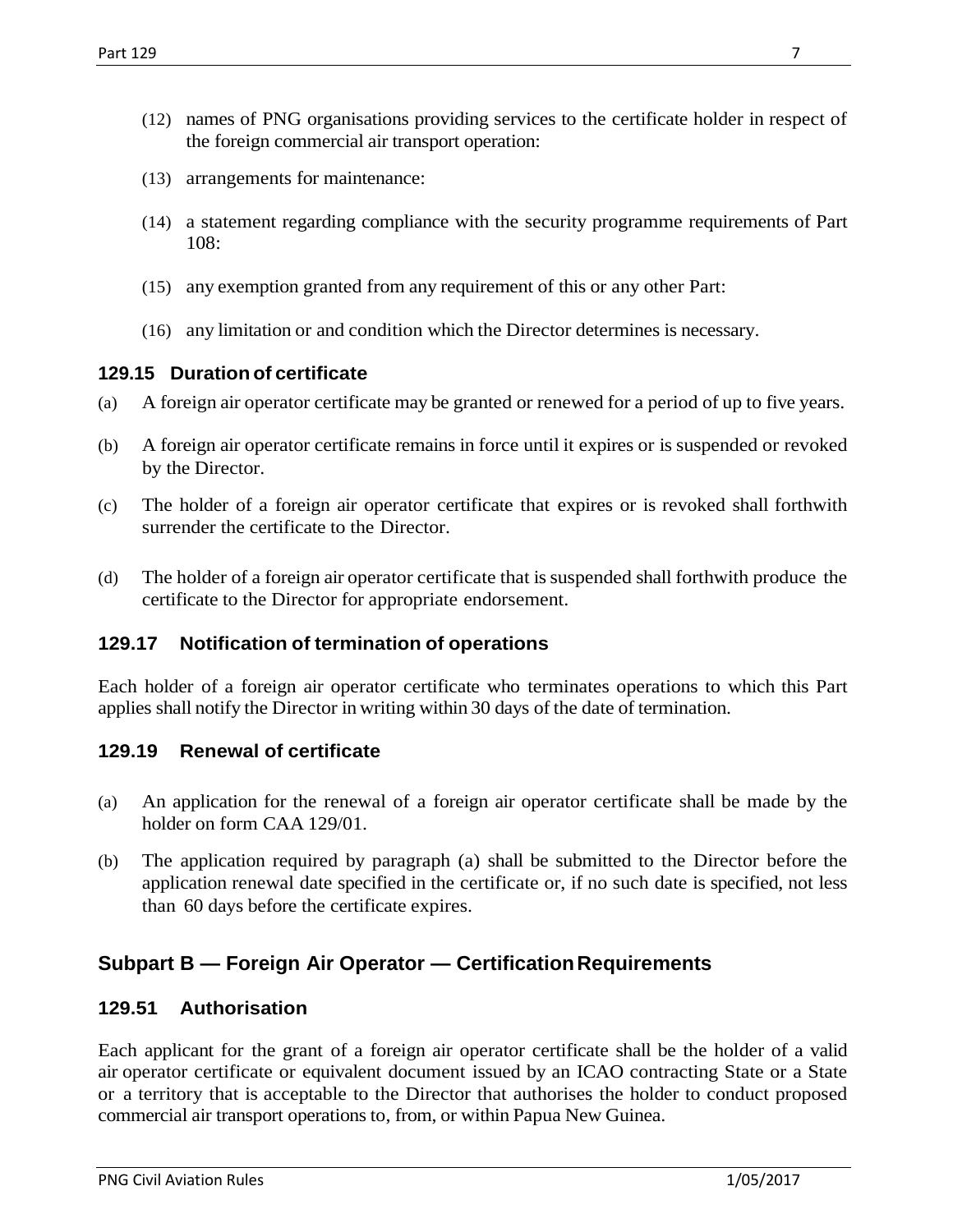- (12) names of PNG organisations providing services to the certificate holder in respect of the foreign commercial air transport operation:
- (13) arrangements for maintenance:
- (14) a statement regarding compliance with the security programme requirements of Part 108:
- (15) any exemption granted from any requirement of this or any other Part:
- (16) any limitation or and condition which the Director determines is necessary.

#### <span id="page-6-0"></span>**129.15 Duration of certificate**

- (a) A foreign air operator certificate may be granted or renewed for a period of up to five years.
- (b) A foreign air operator certificate remains in force until it expires or is suspended or revoked by the Director.
- (c) The holder of a foreign air operator certificate that expires or is revoked shall forthwith surrender the certificate to the Director.
- (d) The holder of a foreign air operator certificate that is suspended shall forthwith produce the certificate to the Director for appropriate endorsement.

#### <span id="page-6-1"></span>**129.17 Notification of termination of operations**

Each holder of a foreign air operator certificate who terminates operations to which this Part applies shall notify the Director in writing within 30 days of the date of termination.

#### <span id="page-6-2"></span>**129.19 Renewal of certificate**

- (a) An application for the renewal of a foreign air operator certificate shall be made by the holder on form CAA 129/01.
- (b) The application required by paragraph (a) shall be submitted to the Director before the application renewal date specified in the certificate or, if no such date is specified, not less than 60 days before the certificate expires.

### <span id="page-6-3"></span>**Subpart B — Foreign Air Operator — CertificationRequirements**

#### <span id="page-6-4"></span>**129.51 Authorisation**

Each applicant for the grant of a foreign air operator certificate shall be the holder of a valid air operator certificate or equivalent document issued by an ICAO contracting State or a State or a territory that is acceptable to the Director that authorises the holder to conduct proposed commercial air transport operations to, from, or within Papua New Guinea.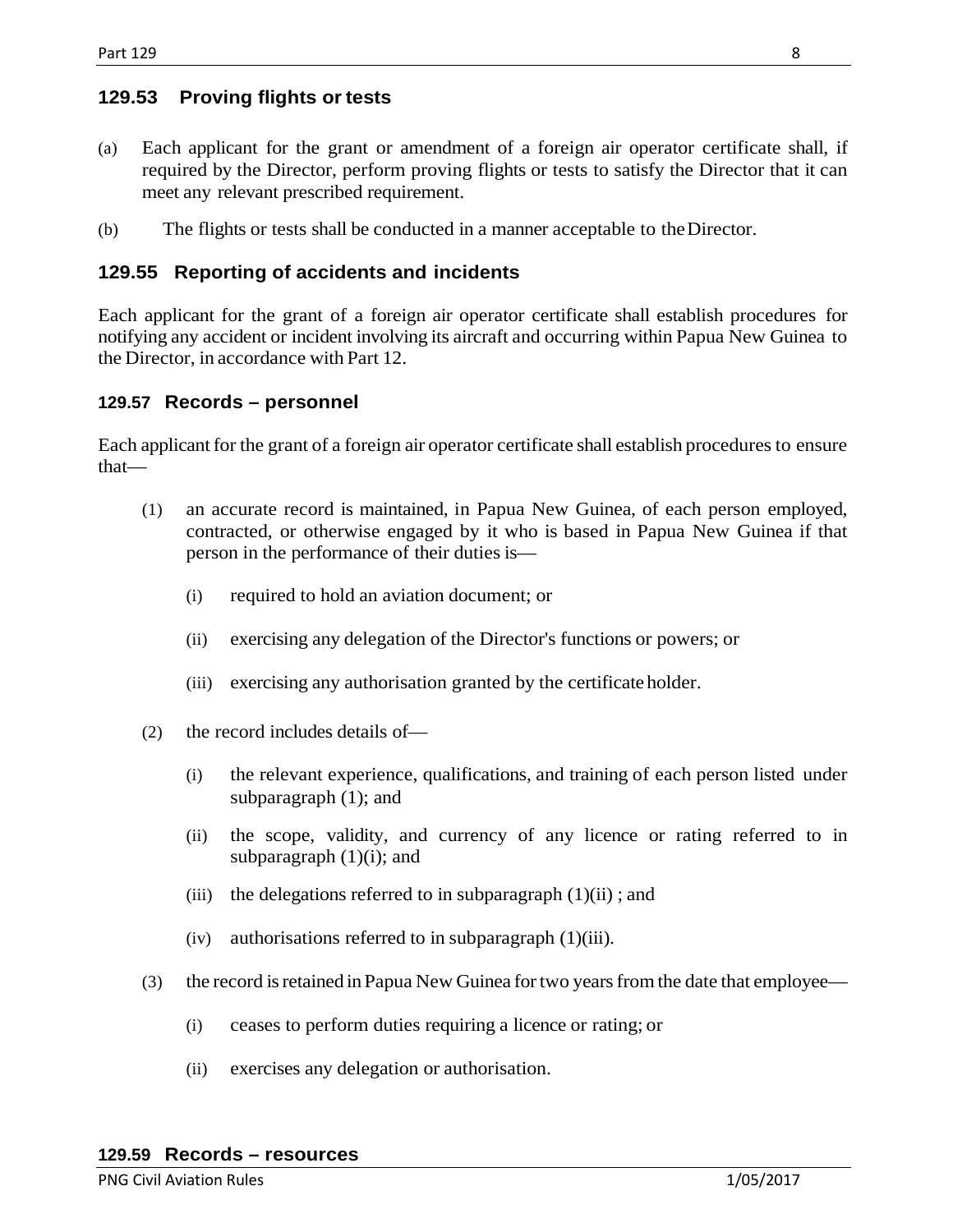### <span id="page-7-0"></span>**129.53 Proving flights or tests**

- (a) Each applicant for the grant or amendment of a foreign air operator certificate shall, if required by the Director, perform proving flights or tests to satisfy the Director that it can meet any relevant prescribed requirement.
- (b) The flights or tests shall be conducted in a manner acceptable to theDirector.

### <span id="page-7-1"></span>**129.55 Reporting of accidents and incidents**

Each applicant for the grant of a foreign air operator certificate shall establish procedures for notifying any accident or incident involving its aircraft and occurring within Papua New Guinea to the Director, in accordance with Part 12.

### <span id="page-7-2"></span>**129.57 Records – personnel**

Each applicant for the grant of a foreign air operator certificate shall establish procedures to ensure that—

- (1) an accurate record is maintained, in Papua New Guinea, of each person employed, contracted, or otherwise engaged by it who is based in Papua New Guinea if that person in the performance of their duties is—
	- (i) required to hold an aviation document; or
	- (ii) exercising any delegation of the Director's functions or powers; or
	- (iii) exercising any authorisation granted by the certificate holder.
- (2) the record includes details of—
	- (i) the relevant experience, qualifications, and training of each person listed under subparagraph (1); and
	- (ii) the scope, validity, and currency of any licence or rating referred to in subparagraph  $(1)(i)$ ; and
	- (iii) the delegations referred to in subparagraph  $(1)(ii)$ ; and
	- $(iv)$  authorisations referred to in subparagraph  $(1)(iii)$ .
- <span id="page-7-3"></span>(3) the record is retained in Papua New Guinea for two years from the date that employee—
	- (i) ceases to perform duties requiring a licence or rating; or
	- (ii) exercises any delegation or authorisation.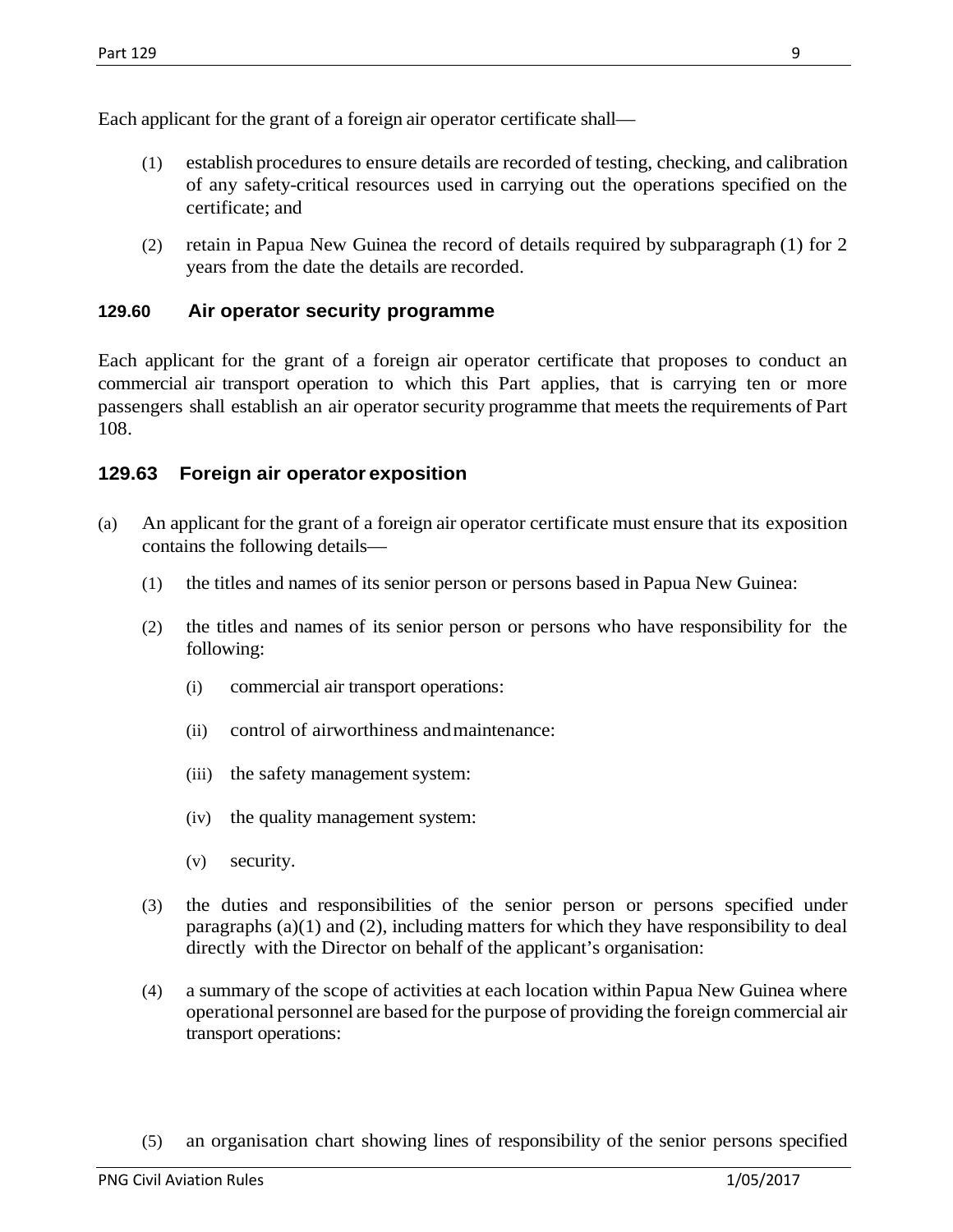Each applicant for the grant of a foreign air operator certificate shall—

- (1) establish procedures to ensure details are recorded of testing, checking, and calibration of any safety-critical resources used in carrying out the operations specified on the certificate; and
- (2) retain in Papua New Guinea the record of details required by subparagraph (1) for 2 years from the date the details are recorded.

### <span id="page-8-0"></span>**129.60 Air operator security programme**

Each applicant for the grant of a foreign air operator certificate that proposes to conduct an commercial air transport operation to which this Part applies, that is carrying ten or more passengers shall establish an air operator security programme that meets the requirements of Part 108.

### <span id="page-8-1"></span>**129.63 Foreign air operator exposition**

- (a) An applicant for the grant of a foreign air operator certificate must ensure that its exposition contains the following details—
	- (1) the titles and names of its senior person or persons based in Papua New Guinea:
	- (2) the titles and names of its senior person or persons who have responsibility for the following:
		- (i) commercial air transport operations:
		- (ii) control of airworthiness andmaintenance:
		- (iii) the safety management system:
		- (iv) the quality management system:
		- (v) security.
	- (3) the duties and responsibilities of the senior person or persons specified under paragraphs (a)(1) and (2), including matters for which they have responsibility to deal directly with the Director on behalf of the applicant's organisation:
	- (4) a summary of the scope of activities at each location within Papua New Guinea where operational personnel are based for the purpose of providing the foreign commercial air transport operations:
	- (5) an organisation chart showing lines of responsibility of the senior persons specified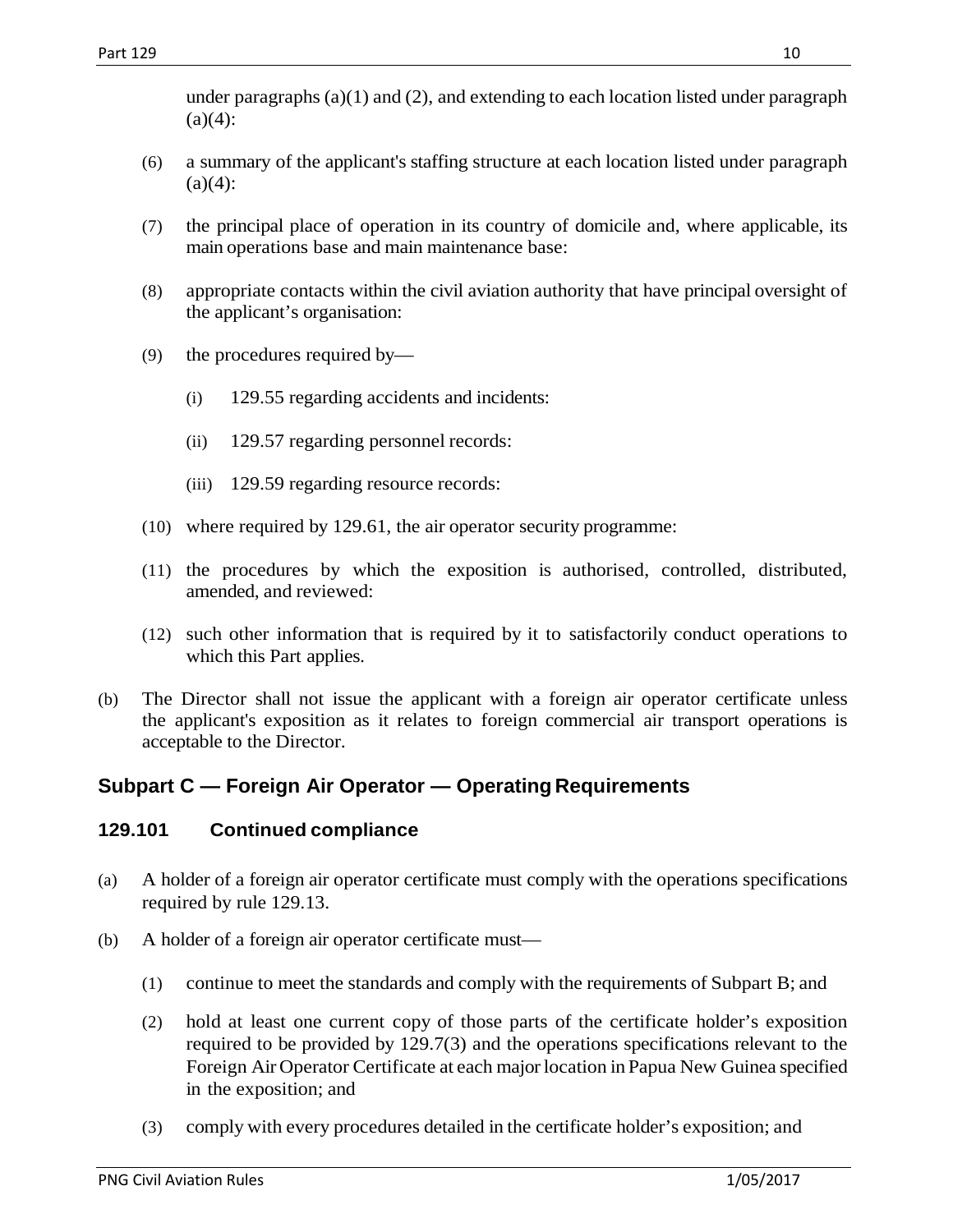under paragraphs  $(a)(1)$  and  $(2)$ , and extending to each location listed under paragraph  $(a)(4)$ :

- (6) a summary of the applicant's staffing structure at each location listed under paragraph  $(a)(4)$ :
- (7) the principal place of operation in its country of domicile and, where applicable, its main operations base and main maintenance base:
- (8) appropriate contacts within the civil aviation authority that have principal oversight of the applicant's organisation:
- (9) the procedures required by—
	- (i) 129.55 regarding accidents and incidents:
	- (ii) 129.57 regarding personnel records:
	- (iii) 129.59 regarding resource records:
- (10) where required by 129.61, the air operator security programme:
- (11) the procedures by which the exposition is authorised, controlled, distributed, amended, and reviewed:
- (12) such other information that is required by it to satisfactorily conduct operations to which this Part applies.
- (b) The Director shall not issue the applicant with a foreign air operator certificate unless the applicant's exposition as it relates to foreign commercial air transport operations is acceptable to the Director.

### <span id="page-9-0"></span>**Subpart C — Foreign Air Operator — Operating Requirements**

### <span id="page-9-1"></span>**129.101 Continued compliance**

- (a) A holder of a foreign air operator certificate must comply with the operations specifications required by rule 129.13.
- (b) A holder of a foreign air operator certificate must—
	- (1) continue to meet the standards and comply with the requirements of Subpart B; and
	- (2) hold at least one current copy of those parts of the certificate holder's exposition required to be provided by 129.7(3) and the operations specifications relevant to the Foreign Air Operator Certificate at each major location in Papua New Guinea specified in the exposition; and
	- (3) comply with every procedures detailed in the certificate holder's exposition; and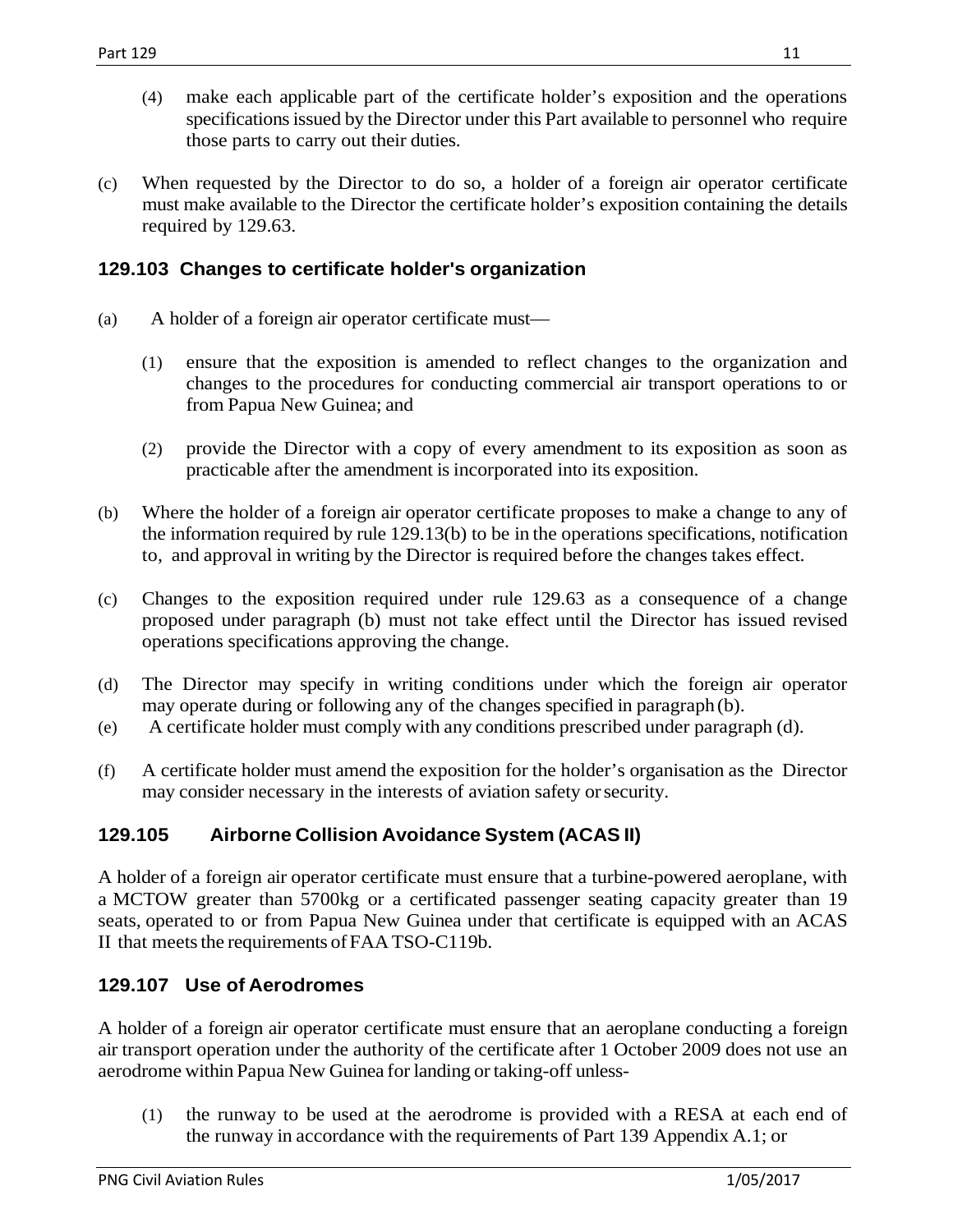- (4) make each applicable part of the certificate holder's exposition and the operations specifications issued by the Director under this Part available to personnel who require those parts to carry out their duties.
- (c) When requested by the Director to do so, a holder of a foreign air operator certificate must make available to the Director the certificate holder's exposition containing the details required by 129.63.

### <span id="page-10-0"></span>**129.103 Changes to certificate holder's organization**

- (a) A holder of a foreign air operator certificate must—
	- (1) ensure that the exposition is amended to reflect changes to the organization and changes to the procedures for conducting commercial air transport operations to or from Papua New Guinea; and
	- (2) provide the Director with a copy of every amendment to its exposition as soon as practicable after the amendment is incorporated into its exposition.
- (b) Where the holder of a foreign air operator certificate proposes to make a change to any of the information required by rule 129.13(b) to be in the operations specifications, notification to, and approval in writing by the Director is required before the changes takes effect.
- (c) Changes to the exposition required under rule 129.63 as a consequence of a change proposed under paragraph (b) must not take effect until the Director has issued revised operations specifications approving the change.
- (d) The Director may specify in writing conditions under which the foreign air operator may operate during or following any of the changes specified in paragraph (b).
- (e) A certificate holder must comply with any conditions prescribed under paragraph (d).
- (f) A certificate holder must amend the exposition for the holder's organisation as the Director may consider necessary in the interests of aviation safety orsecurity.

### <span id="page-10-1"></span>**129.105 Airborne Collision Avoidance System (ACAS II)**

A holder of a foreign air operator certificate must ensure that a turbine-powered aeroplane, with a MCTOW greater than 5700kg or a certificated passenger seating capacity greater than 19 seats, operated to or from Papua New Guinea under that certificate is equipped with an ACAS II that meets the requirements of FAA TSO-C119b.

### <span id="page-10-2"></span>**129.107 Use of Aerodromes**

A holder of a foreign air operator certificate must ensure that an aeroplane conducting a foreign air transport operation under the authority of the certificate after 1 October 2009 does not use an aerodrome within Papua New Guinea for landing or taking-off unless-

(1) the runway to be used at the aerodrome is provided with a RESA at each end of the runway in accordance with the requirements of Part 139 Appendix A.1; or